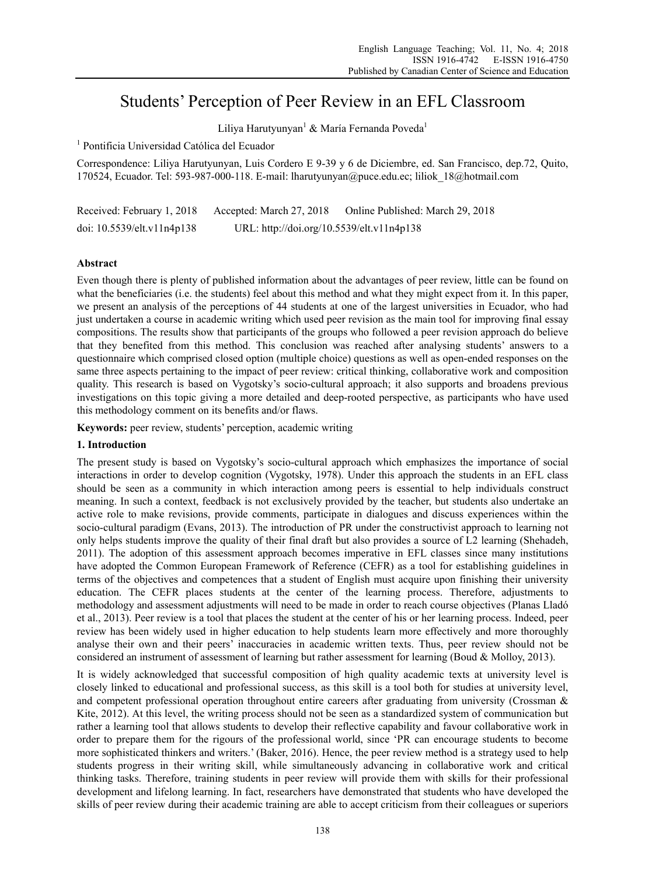# Students' Perception of Peer Review in an EFL Classroom

Liliya Harutyunyan<sup>1</sup> & María Fernanda Poveda<sup>1</sup>

1 Pontificia Universidad Católica del Ecuador

Correspondence: Liliya Harutyunyan, Luis Cordero E 9-39 y 6 de Diciembre, ed. San Francisco, dep.72, Quito, 170524, Ecuador. Tel: 593-987-000-118. E-mail: lharutyunyan@puce.edu.ec; liliok\_18@hotmail.com

Received: February 1, 2018 Accepted: March 27, 2018 Online Published: March 29, 2018 doi: 10.5539/elt.v11n4p138 URL: http://doi.org/10.5539/elt.v11n4p138

# **Abstract**

Even though there is plenty of published information about the advantages of peer review, little can be found on what the beneficiaries (i.e. the students) feel about this method and what they might expect from it. In this paper, we present an analysis of the perceptions of 44 students at one of the largest universities in Ecuador, who had just undertaken a course in academic writing which used peer revision as the main tool for improving final essay compositions. The results show that participants of the groups who followed a peer revision approach do believe that they benefited from this method. This conclusion was reached after analysing students' answers to a questionnaire which comprised closed option (multiple choice) questions as well as open-ended responses on the same three aspects pertaining to the impact of peer review: critical thinking, collaborative work and composition quality. This research is based on Vygotsky's socio-cultural approach; it also supports and broadens previous investigations on this topic giving a more detailed and deep-rooted perspective, as participants who have used this methodology comment on its benefits and/or flaws.

**Keywords:** peer review, students' perception, academic writing

# **1. Introduction**

The present study is based on Vygotsky's socio-cultural approach which emphasizes the importance of social interactions in order to develop cognition (Vygotsky, 1978). Under this approach the students in an EFL class should be seen as a community in which interaction among peers is essential to help individuals construct meaning. In such a context, feedback is not exclusively provided by the teacher, but students also undertake an active role to make revisions, provide comments, participate in dialogues and discuss experiences within the socio-cultural paradigm (Evans, 2013). The introduction of PR under the constructivist approach to learning not only helps students improve the quality of their final draft but also provides a source of L2 learning (Shehadeh, 2011). The adoption of this assessment approach becomes imperative in EFL classes since many institutions have adopted the Common European Framework of Reference (CEFR) as a tool for establishing guidelines in terms of the objectives and competences that a student of English must acquire upon finishing their university education. The CEFR places students at the center of the learning process. Therefore, adjustments to methodology and assessment adjustments will need to be made in order to reach course objectives (Planas Lladó et al., 2013). Peer review is a tool that places the student at the center of his or her learning process. Indeed, peer review has been widely used in higher education to help students learn more effectively and more thoroughly analyse their own and their peers' inaccuracies in academic written texts. Thus, peer review should not be considered an instrument of assessment of learning but rather assessment for learning (Boud & Molloy, 2013).

It is widely acknowledged that successful composition of high quality academic texts at university level is closely linked to educational and professional success, as this skill is a tool both for studies at university level, and competent professional operation throughout entire careers after graduating from university (Crossman & Kite, 2012). At this level, the writing process should not be seen as a standardized system of communication but rather a learning tool that allows students to develop their reflective capability and favour collaborative work in order to prepare them for the rigours of the professional world, since 'PR can encourage students to become more sophisticated thinkers and writers.' (Baker, 2016). Hence, the peer review method is a strategy used to help students progress in their writing skill, while simultaneously advancing in collaborative work and critical thinking tasks. Therefore, training students in peer review will provide them with skills for their professional development and lifelong learning. In fact, researchers have demonstrated that students who have developed the skills of peer review during their academic training are able to accept criticism from their colleagues or superiors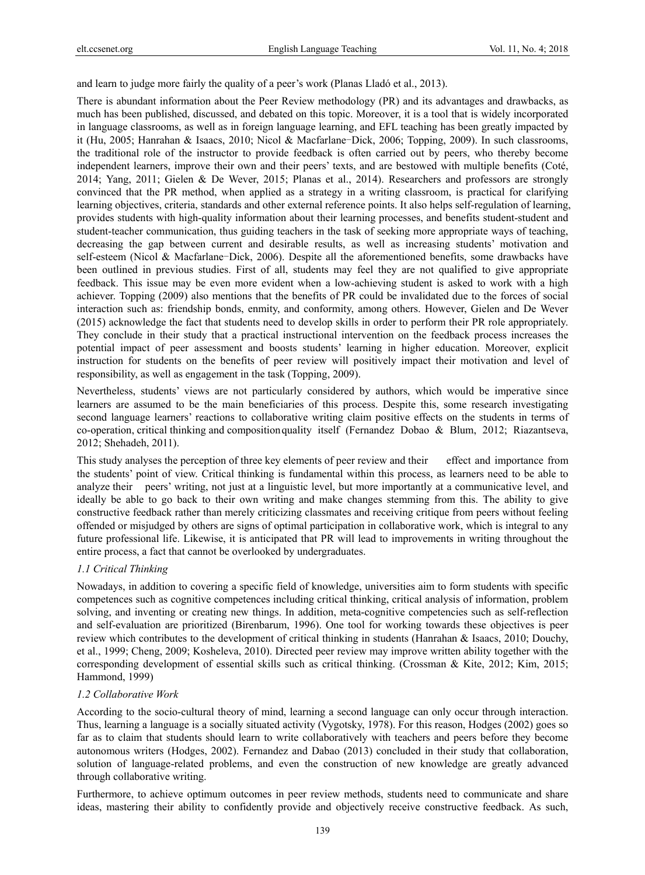and learn to judge more fairly the quality of a peer's work (Planas Lladó et al., 2013).

There is abundant information about the Peer Review methodology (PR) and its advantages and drawbacks, as much has been published, discussed, and debated on this topic. Moreover, it is a tool that is widely incorporated in language classrooms, as well as in foreign language learning, and EFL teaching has been greatly impacted by it (Hu, 2005; Hanrahan & Isaacs, 2010; Nicol & Macfarlane-Dick, 2006; Topping, 2009). In such classrooms, the traditional role of the instructor to provide feedback is often carried out by peers, who thereby become independent learners, improve their own and their peers' texts, and are bestowed with multiple benefits (Coté, 2014; Yang, 2011; Gielen & De Wever, 2015; Planas et al., 2014). Researchers and professors are strongly convinced that the PR method, when applied as a strategy in a writing classroom, is practical for clarifying learning objectives, criteria, standards and other external reference points. It also helps self-regulation of learning, provides students with high-quality information about their learning processes, and benefits student-student and student-teacher communication, thus guiding teachers in the task of seeking more appropriate ways of teaching, decreasing the gap between current and desirable results, as well as increasing students' motivation and self-esteem (Nicol & Macfarlane-Dick, 2006). Despite all the aforementioned benefits, some drawbacks have been outlined in previous studies. First of all, students may feel they are not qualified to give appropriate feedback. This issue may be even more evident when a low-achieving student is asked to work with a high achiever. Topping (2009) also mentions that the benefits of PR could be invalidated due to the forces of social interaction such as: friendship bonds, enmity, and conformity, among others. However, Gielen and De Wever (2015) acknowledge the fact that students need to develop skills in order to perform their PR role appropriately. They conclude in their study that a practical instructional intervention on the feedback process increases the potential impact of peer assessment and boosts students' learning in higher education. Moreover, explicit instruction for students on the benefits of peer review will positively impact their motivation and level of responsibility, as well as engagement in the task (Topping, 2009).

Nevertheless, students' views are not particularly considered by authors, which would be imperative since learners are assumed to be the main beneficiaries of this process. Despite this, some research investigating second language learners' reactions to collaborative writing claim positive effects on the students in terms of co-operation, critical thinking and composition quality itself (Fernandez Dobao & Blum, 2012; Riazantseva, 2012; Shehadeh, 2011).

This study analyses the perception of three key elements of peer review and their effect and importance from the students' point of view. Critical thinking is fundamental within this process, as learners need to be able to analyze their peers' writing, not just at a linguistic level, but more importantly at a communicative level, and ideally be able to go back to their own writing and make changes stemming from this. The ability to give constructive feedback rather than merely criticizing classmates and receiving critique from peers without feeling offended or misjudged by others are signs of optimal participation in collaborative work, which is integral to any future professional life. Likewise, it is anticipated that PR will lead to improvements in writing throughout the entire process, a fact that cannot be overlooked by undergraduates.

# *1.1 Critical Thinking*

Nowadays, in addition to covering a specific field of knowledge, universities aim to form students with specific competences such as cognitive competences including critical thinking, critical analysis of information, problem solving, and inventing or creating new things. In addition, meta-cognitive competencies such as self-reflection and self-evaluation are prioritized (Birenbarum, 1996). One tool for working towards these objectives is peer review which contributes to the development of critical thinking in students (Hanrahan & Isaacs, 2010; Douchy, et al., 1999; Cheng, 2009; Kosheleva, 2010). Directed peer review may improve written ability together with the corresponding development of essential skills such as critical thinking. (Crossman & Kite, 2012; Kim, 2015; Hammond, 1999)

# *1.2 Collaborative Work*

According to the socio-cultural theory of mind, learning a second language can only occur through interaction. Thus, learning a language is a socially situated activity (Vygotsky, 1978). For this reason, Hodges (2002) goes so far as to claim that students should learn to write collaboratively with teachers and peers before they become autonomous writers (Hodges, 2002). Fernandez and Dabao (2013) concluded in their study that collaboration, solution of language-related problems, and even the construction of new knowledge are greatly advanced through collaborative writing.

Furthermore, to achieve optimum outcomes in peer review methods, students need to communicate and share ideas, mastering their ability to confidently provide and objectively receive constructive feedback. As such,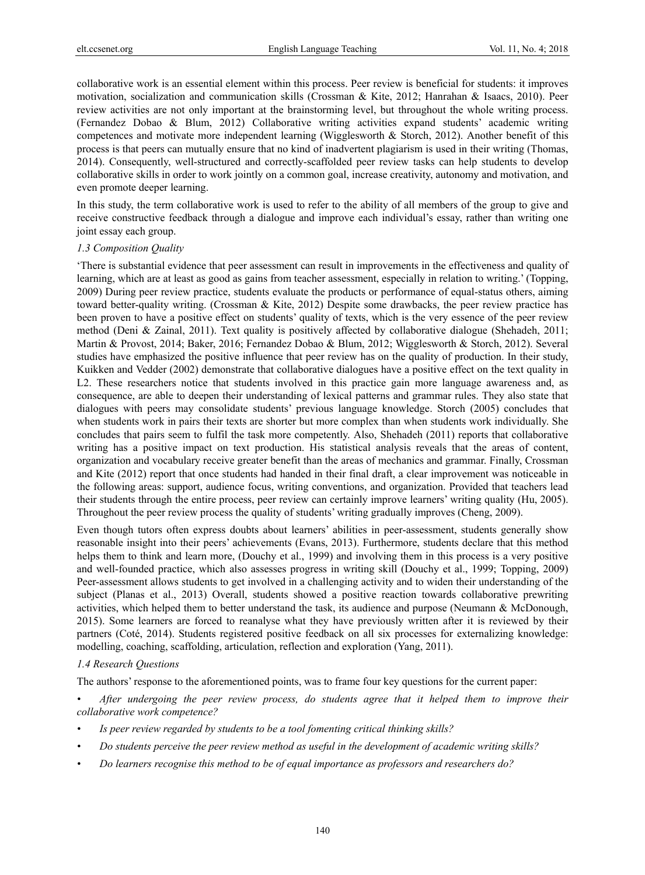collaborative work is an essential element within this process. Peer review is beneficial for students: it improves motivation, socialization and communication skills (Crossman & Kite, 2012; Hanrahan & Isaacs, 2010). Peer review activities are not only important at the brainstorming level, but throughout the whole writing process. (Fernandez Dobao & Blum, 2012) Collaborative writing activities expand students' academic writing competences and motivate more independent learning (Wigglesworth & Storch, 2012). Another benefit of this process is that peers can mutually ensure that no kind of inadvertent plagiarism is used in their writing (Thomas, 2014). Consequently, well-structured and correctly-scaffolded peer review tasks can help students to develop collaborative skills in order to work jointly on a common goal, increase creativity, autonomy and motivation, and even promote deeper learning.

In this study, the term collaborative work is used to refer to the ability of all members of the group to give and receive constructive feedback through a dialogue and improve each individual's essay, rather than writing one joint essay each group.

#### *1.3 Composition Quality*

'There is substantial evidence that peer assessment can result in improvements in the effectiveness and quality of learning, which are at least as good as gains from teacher assessment, especially in relation to writing.' (Topping, 2009) During peer review practice, students evaluate the products or performance of equal-status others, aiming toward better-quality writing. (Crossman & Kite, 2012) Despite some drawbacks, the peer review practice has been proven to have a positive effect on students' quality of texts, which is the very essence of the peer review method (Deni & Zainal, 2011). Text quality is positively affected by collaborative dialogue (Shehadeh, 2011; Martin & Provost, 2014; Baker, 2016; Fernandez Dobao & Blum, 2012; Wigglesworth & Storch, 2012). Several studies have emphasized the positive influence that peer review has on the quality of production. In their study, Kuikken and Vedder (2002) demonstrate that collaborative dialogues have a positive effect on the text quality in L2. These researchers notice that students involved in this practice gain more language awareness and, as consequence, are able to deepen their understanding of lexical patterns and grammar rules. They also state that dialogues with peers may consolidate students' previous language knowledge. Storch (2005) concludes that when students work in pairs their texts are shorter but more complex than when students work individually. She concludes that pairs seem to fulfil the task more competently. Also, Shehadeh (2011) reports that collaborative writing has a positive impact on text production. His statistical analysis reveals that the areas of content, organization and vocabulary receive greater benefit than the areas of mechanics and grammar. Finally, Crossman and Kite (2012) report that once students had handed in their final draft, a clear improvement was noticeable in the following areas: support, audience focus, writing conventions, and organization. Provided that teachers lead their students through the entire process, peer review can certainly improve learners' writing quality (Hu, 2005). Throughout the peer review process the quality of students' writing gradually improves (Cheng, 2009).

Even though tutors often express doubts about learners' abilities in peer-assessment, students generally show reasonable insight into their peers' achievements (Evans, 2013). Furthermore, students declare that this method helps them to think and learn more, (Douchy et al., 1999) and involving them in this process is a very positive and well-founded practice, which also assesses progress in writing skill (Douchy et al., 1999; Topping, 2009) Peer-assessment allows students to get involved in a challenging activity and to widen their understanding of the subject (Planas et al., 2013) Overall, students showed a positive reaction towards collaborative prewriting activities, which helped them to better understand the task, its audience and purpose (Neumann & McDonough, 2015). Some learners are forced to reanalyse what they have previously written after it is reviewed by their partners (Coté, 2014). Students registered positive feedback on all six processes for externalizing knowledge: modelling, coaching, scaffolding, articulation, reflection and exploration (Yang, 2011).

#### *1.4 Research Questions*

The authors' response to the aforementioned points, was to frame four key questions for the current paper:

*• After undergoing the peer review process, do students agree that it helped them to improve their collaborative work competence?* 

- *Is peer review regarded by students to be a tool fomenting critical thinking skills?*
- *Do students perceive the peer review method as useful in the development of academic writing skills?*
- *Do learners recognise this method to be of equal importance as professors and researchers do?*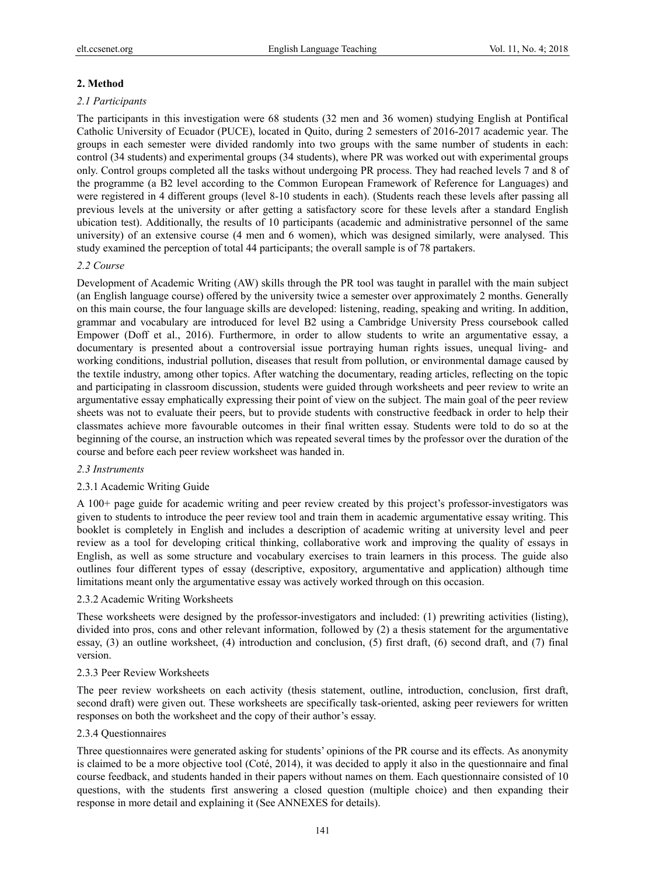# **2. Method**

# *2.1 Participants*

The participants in this investigation were 68 students (32 men and 36 women) studying English at Pontifical Catholic University of Ecuador (PUCE), located in Quito, during 2 semesters of 2016-2017 academic year. The groups in each semester were divided randomly into two groups with the same number of students in each: control (34 students) and experimental groups (34 students), where PR was worked out with experimental groups only. Control groups completed all the tasks without undergoing PR process. They had reached levels 7 and 8 of the programme (a B2 level according to the Common European Framework of Reference for Languages) and were registered in 4 different groups (level 8-10 students in each). (Students reach these levels after passing all previous levels at the university or after getting a satisfactory score for these levels after a standard English ubication test). Additionally, the results of 10 participants (academic and administrative personnel of the same university) of an extensive course (4 men and 6 women), which was designed similarly, were analysed. This study examined the perception of total 44 participants; the overall sample is of 78 partakers.

## *2.2 Course*

Development of Academic Writing (AW) skills through the PR tool was taught in parallel with the main subject (an English language course) offered by the university twice a semester over approximately 2 months. Generally on this main course, the four language skills are developed: listening, reading, speaking and writing. In addition, grammar and vocabulary are introduced for level B2 using a Cambridge University Press coursebook called Empower (Doff et al., 2016). Furthermore, in order to allow students to write an argumentative essay, a documentary is presented about a controversial issue portraying human rights issues, unequal living- and working conditions, industrial pollution, diseases that result from pollution, or environmental damage caused by the textile industry, among other topics. After watching the documentary, reading articles, reflecting on the topic and participating in classroom discussion, students were guided through worksheets and peer review to write an argumentative essay emphatically expressing their point of view on the subject. The main goal of the peer review sheets was not to evaluate their peers, but to provide students with constructive feedback in order to help their classmates achieve more favourable outcomes in their final written essay. Students were told to do so at the beginning of the course, an instruction which was repeated several times by the professor over the duration of the course and before each peer review worksheet was handed in.

#### *2.3 Instruments*

# 2.3.1 Academic Writing Guide

A 100+ page guide for academic writing and peer review created by this project's professor-investigators was given to students to introduce the peer review tool and train them in academic argumentative essay writing. This booklet is completely in English and includes a description of academic writing at university level and peer review as a tool for developing critical thinking, collaborative work and improving the quality of essays in English, as well as some structure and vocabulary exercises to train learners in this process. The guide also outlines four different types of essay (descriptive, expository, argumentative and application) although time limitations meant only the argumentative essay was actively worked through on this occasion.

#### 2.3.2 Academic Writing Worksheets

These worksheets were designed by the professor-investigators and included: (1) prewriting activities (listing), divided into pros, cons and other relevant information, followed by (2) a thesis statement for the argumentative essay, (3) an outline worksheet, (4) introduction and conclusion, (5) first draft, (6) second draft, and (7) final version.

# 2.3.3 Peer Review Worksheets

The peer review worksheets on each activity (thesis statement, outline, introduction, conclusion, first draft, second draft) were given out. These worksheets are specifically task-oriented, asking peer reviewers for written responses on both the worksheet and the copy of their author's essay.

# 2.3.4 Questionnaires

Three questionnaires were generated asking for students' opinions of the PR course and its effects. As anonymity is claimed to be a more objective tool (Coté, 2014), it was decided to apply it also in the questionnaire and final course feedback, and students handed in their papers without names on them. Each questionnaire consisted of 10 questions, with the students first answering a closed question (multiple choice) and then expanding their response in more detail and explaining it (See ANNEXES for details).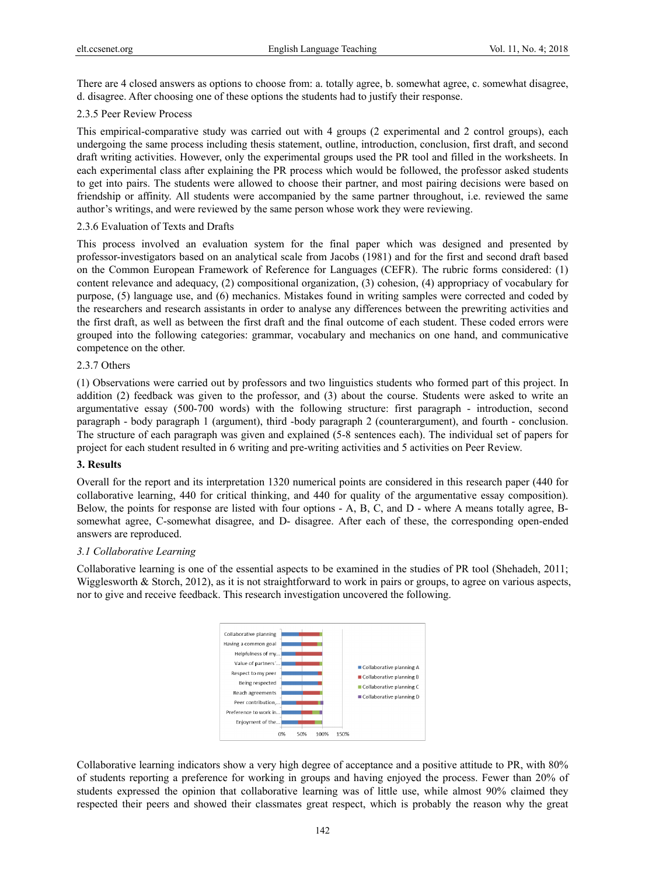There are 4 closed answers as options to choose from: a. totally agree, b. somewhat agree, c. somewhat disagree, d. disagree. After choosing one of these options the students had to justify their response.

## 2.3.5 Peer Review Process

This empirical-comparative study was carried out with 4 groups (2 experimental and 2 control groups), each undergoing the same process including thesis statement, outline, introduction, conclusion, first draft, and second draft writing activities. However, only the experimental groups used the PR tool and filled in the worksheets. In each experimental class after explaining the PR process which would be followed, the professor asked students to get into pairs. The students were allowed to choose their partner, and most pairing decisions were based on friendship or affinity. All students were accompanied by the same partner throughout, i.e. reviewed the same author's writings, and were reviewed by the same person whose work they were reviewing.

## 2.3.6 Evaluation of Texts and Drafts

This process involved an evaluation system for the final paper which was designed and presented by professor-investigators based on an analytical scale from Jacobs (1981) and for the first and second draft based on the Common European Framework of Reference for Languages (CEFR). The rubric forms considered: (1) content relevance and adequacy, (2) compositional organization, (3) cohesion, (4) appropriacy of vocabulary for purpose, (5) language use, and (6) mechanics. Mistakes found in writing samples were corrected and coded by the researchers and research assistants in order to analyse any differences between the prewriting activities and the first draft, as well as between the first draft and the final outcome of each student. These coded errors were grouped into the following categories: grammar, vocabulary and mechanics on one hand, and communicative competence on the other.

## 2.3.7 Others

(1) Observations were carried out by professors and two linguistics students who formed part of this project. In addition (2) feedback was given to the professor, and (3) about the course. Students were asked to write an argumentative essay (500-700 words) with the following structure: first paragraph - introduction, second paragraph - body paragraph 1 (argument), third -body paragraph 2 (counterargument), and fourth - conclusion. The structure of each paragraph was given and explained (5-8 sentences each). The individual set of papers for project for each student resulted in 6 writing and pre-writing activities and 5 activities on Peer Review.

#### **3. Results**

Overall for the report and its interpretation 1320 numerical points are considered in this research paper (440 for collaborative learning, 440 for critical thinking, and 440 for quality of the argumentative essay composition). Below, the points for response are listed with four options - A, B, C, and D - where A means totally agree, Bsomewhat agree, C-somewhat disagree, and D- disagree. After each of these, the corresponding open-ended answers are reproduced.

#### *3.1 Collaborative Learning*

Collaborative learning is one of the essential aspects to be examined in the studies of PR tool (Shehadeh, 2011; Wigglesworth & Storch, 2012), as it is not straightforward to work in pairs or groups, to agree on various aspects, nor to give and receive feedback. This research investigation uncovered the following.



Collaborative learning indicators show a very high degree of acceptance and a positive attitude to PR, with 80% of students reporting a preference for working in groups and having enjoyed the process. Fewer than 20% of students expressed the opinion that collaborative learning was of little use, while almost 90% claimed they respected their peers and showed their classmates great respect, which is probably the reason why the great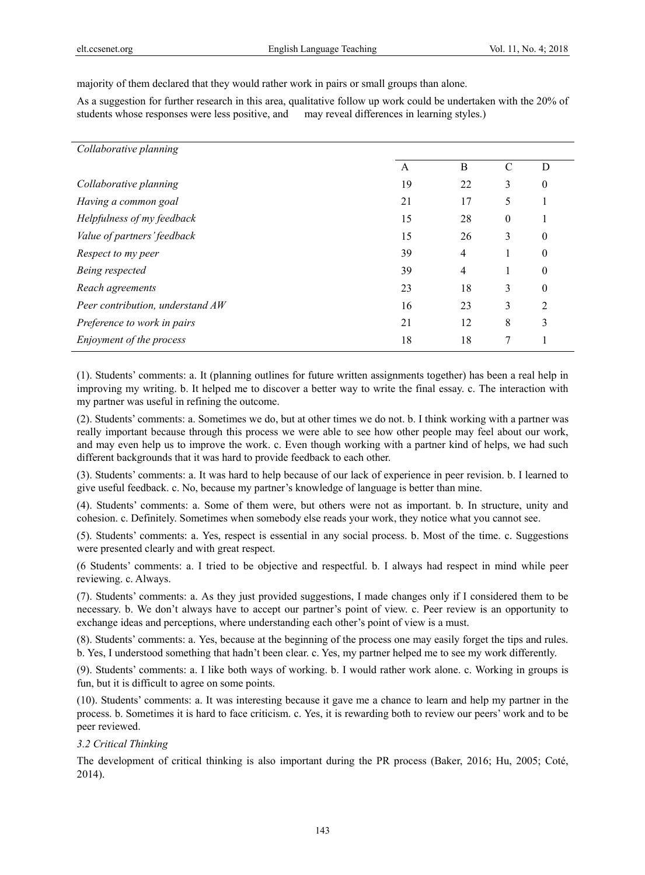majority of them declared that they would rather work in pairs or small groups than alone.

As a suggestion for further research in this area, qualitative follow up work could be undertaken with the 20% of students whose responses were less positive, and may reveal differences in learning styles.)

| Collaborative planning           |              |                |               |          |
|----------------------------------|--------------|----------------|---------------|----------|
|                                  | $\mathbf{A}$ | B              | $\mathcal{C}$ | D        |
| Collaborative planning           | 19           | 22             | 3             | $\theta$ |
| Having a common goal             | 21           | 17             | 5             |          |
| Helpfulness of my feedback       | 15           | 28             | $\mathbf{0}$  |          |
| Value of partners' feedback      | 15           | 26             | 3             | $\theta$ |
| Respect to my peer               | 39           | $\overline{4}$ |               | $\theta$ |
| Being respected                  | 39           | $\overline{4}$ |               | $\theta$ |
| Reach agreements                 | 23           | 18             | 3             | $\theta$ |
| Peer contribution, understand AW | 16           | 23             | 3             | 2        |
| Preference to work in pairs      | 21           | 12             | 8             | 3        |
| Enjoyment of the process         | 18           | 18             | 7             |          |

(1). Students' comments: a. It (planning outlines for future written assignments together) has been a real help in improving my writing. b. It helped me to discover a better way to write the final essay. c. The interaction with my partner was useful in refining the outcome.

(2). Students' comments: a. Sometimes we do, but at other times we do not. b. I think working with a partner was really important because through this process we were able to see how other people may feel about our work, and may even help us to improve the work. c. Even though working with a partner kind of helps, we had such different backgrounds that it was hard to provide feedback to each other.

(3). Students' comments: a. It was hard to help because of our lack of experience in peer revision. b. I learned to give useful feedback. c. No, because my partner's knowledge of language is better than mine.

(4). Students' comments: a. Some of them were, but others were not as important. b. In structure, unity and cohesion. c. Definitely. Sometimes when somebody else reads your work, they notice what you cannot see.

(5). Students' comments: a. Yes, respect is essential in any social process. b. Most of the time. c. Suggestions were presented clearly and with great respect.

(6 Students' comments: a. I tried to be objective and respectful. b. I always had respect in mind while peer reviewing. c. Always.

(7). Students' comments: a. As they just provided suggestions, I made changes only if I considered them to be necessary. b. We don't always have to accept our partner's point of view. c. Peer review is an opportunity to exchange ideas and perceptions, where understanding each other's point of view is a must.

(8). Students' comments: a. Yes, because at the beginning of the process one may easily forget the tips and rules. b. Yes, I understood something that hadn't been clear. c. Yes, my partner helped me to see my work differently.

(9). Students' comments: a. I like both ways of working. b. I would rather work alone. c. Working in groups is fun, but it is difficult to agree on some points.

(10). Students' comments: a. It was interesting because it gave me a chance to learn and help my partner in the process. b. Sometimes it is hard to face criticism. c. Yes, it is rewarding both to review our peers' work and to be peer reviewed.

#### *3.2 Critical Thinking*

The development of critical thinking is also important during the PR process (Baker, 2016; Hu, 2005; Coté, 2014).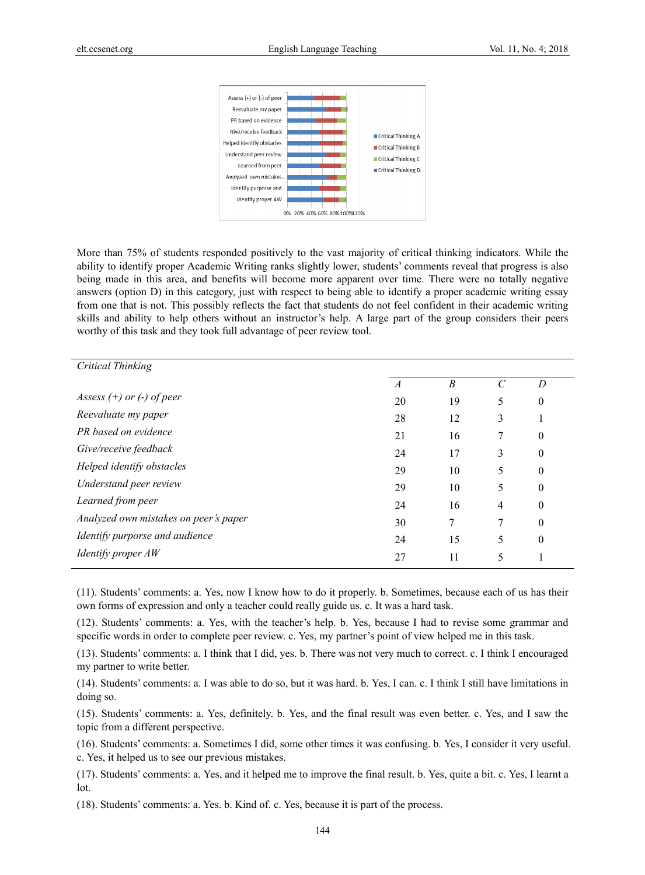

More than 75% of students responded positively to the vast majority of critical thinking indicators. While the ability to identify proper Academic Writing ranks slightly lower, students' comments reveal that progress is also being made in this area, and benefits will become more apparent over time. There were no totally negative answers (option D) in this category, just with respect to being able to identify a proper academic writing essay from one that is not. This possibly reflects the fact that students do not feel confident in their academic writing skills and ability to help others without an instructor's help. A large part of the group considers their peers worthy of this task and they took full advantage of peer review tool.

| Critical Thinking                     |                |    |                |                  |  |
|---------------------------------------|----------------|----|----------------|------------------|--|
|                                       | $\overline{A}$ | B  | C              | D                |  |
| Assess $(+)$ or $(-)$ of peer         | 20             | 19 | 5              | $\mathbf{0}$     |  |
| Reevaluate my paper                   | 28             | 12 | 3              |                  |  |
| PR based on evidence                  | 21             | 16 | 7              | $\theta$         |  |
| Give/receive feedback                 | 24             | 17 | 3              | $\theta$         |  |
| Helped identify obstacles             | 29             | 10 | 5              | $\theta$         |  |
| Understand peer review                | 29             | 10 | 5              | $\theta$         |  |
| Learned from peer                     | 24             | 16 | $\overline{4}$ | $\boldsymbol{0}$ |  |
| Analyzed own mistakes on peer's paper | 30             | 7  | 7              | $\mathbf{0}$     |  |
| Identify purporse and audience        | 24             | 15 | 5              | $\mathbf{0}$     |  |
| Identify proper AW                    | 27             | 11 | 5              |                  |  |
|                                       |                |    |                |                  |  |

(11). Students' comments: a. Yes, now I know how to do it properly. b. Sometimes, because each of us has their own forms of expression and only a teacher could really guide us. c. It was a hard task.

(12). Students' comments: a. Yes, with the teacher's help. b. Yes, because I had to revise some grammar and specific words in order to complete peer review. c. Yes, my partner's point of view helped me in this task.

(13). Students' comments: a. I think that I did, yes. b. There was not very much to correct. c. I think I encouraged my partner to write better.

(14). Students' comments: a. I was able to do so, but it was hard. b. Yes, I can. c. I think I still have limitations in doing so.

(15). Students' comments: a. Yes, definitely. b. Yes, and the final result was even better. c. Yes, and I saw the topic from a different perspective.

(16). Students' comments: a. Sometimes I did, some other times it was confusing. b. Yes, I consider it very useful. c. Yes, it helped us to see our previous mistakes.

(17). Students' comments: a. Yes, and it helped me to improve the final result. b. Yes, quite a bit. c. Yes, I learnt a lot.

(18). Students' comments: a. Yes. b. Kind of. c. Yes, because it is part of the process.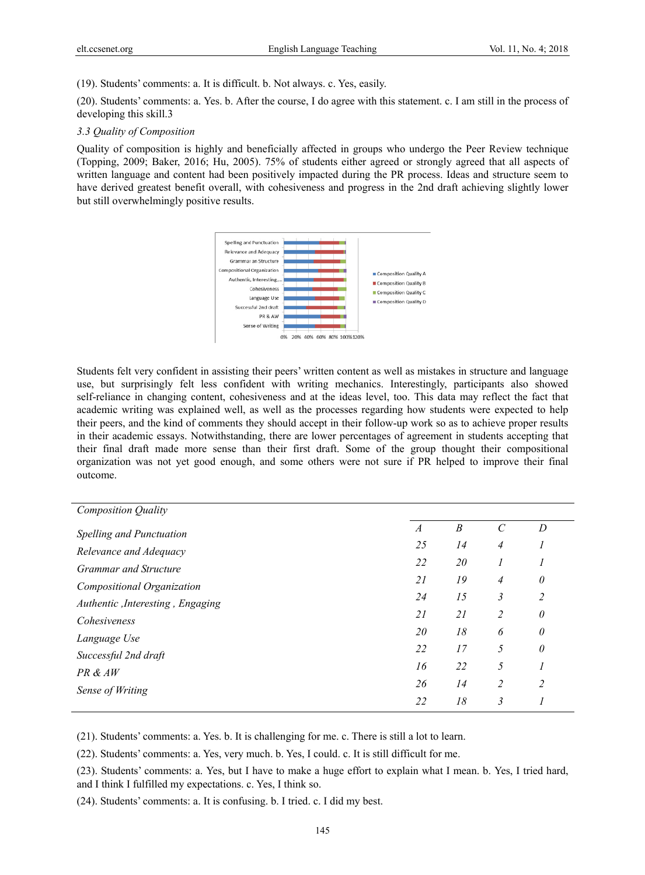(19). Students' comments: a. It is difficult. b. Not always. c. Yes, easily.

(20). Students' comments: a. Yes. b. After the course, I do agree with this statement. c. I am still in the process of developing this skill.3

#### *3.3 Quality of Composition*

Quality of composition is highly and beneficially affected in groups who undergo the Peer Review technique (Topping, 2009; Baker, 2016; Hu, 2005). 75% of students either agreed or strongly agreed that all aspects of written language and content had been positively impacted during the PR process. Ideas and structure seem to have derived greatest benefit overall, with cohesiveness and progress in the 2nd draft achieving slightly lower but still overwhelmingly positive results.



Students felt very confident in assisting their peers' written content as well as mistakes in structure and language use, but surprisingly felt less confident with writing mechanics. Interestingly, participants also showed self-reliance in changing content, cohesiveness and at the ideas level, too. This data may reflect the fact that academic writing was explained well, as well as the processes regarding how students were expected to help their peers, and the kind of comments they should accept in their follow-up work so as to achieve proper results in their academic essays. Notwithstanding, there are lower percentages of agreement in students accepting that their final draft made more sense than their first draft. Some of the group thought their compositional organization was not yet good enough, and some others were not sure if PR helped to improve their final outcome.

| Composition Quality               |                |    |                |                |
|-----------------------------------|----------------|----|----------------|----------------|
| Spelling and Punctuation          | $\overline{A}$ | B  | $\mathcal{C}$  | D              |
| Relevance and Adequacy            | 25             | 14 | 4              |                |
| <b>Grammar</b> and Structure      | 22             | 20 |                |                |
| Compositional Organization        | 21             | 19 | 4              | 0              |
| Authentic , Interesting, Engaging | 24             | 15 | 3              | 2              |
| Cohesiveness                      | 21             | 21 | $\overline{c}$ | 0              |
| Language Use                      | 20             | 18 | 6              | 0              |
| Successful 2nd draft              | 22             | 17 | 5              | $\theta$       |
| PR & AW                           | 16             | 22 | 5              |                |
| Sense of Writing                  | 26             | 14 | 2              | $\overline{c}$ |
|                                   | 22             | 18 | 3              |                |

(21). Students' comments: a. Yes. b. It is challenging for me. c. There is still a lot to learn.

(22). Students' comments: a. Yes, very much. b. Yes, I could. c. It is still difficult for me.

<sup>(23).</sup> Students' comments: a. Yes, but I have to make a huge effort to explain what I mean. b. Yes, I tried hard, and I think I fulfilled my expectations. c. Yes, I think so.

<sup>(24).</sup> Students' comments: a. It is confusing. b. I tried. c. I did my best.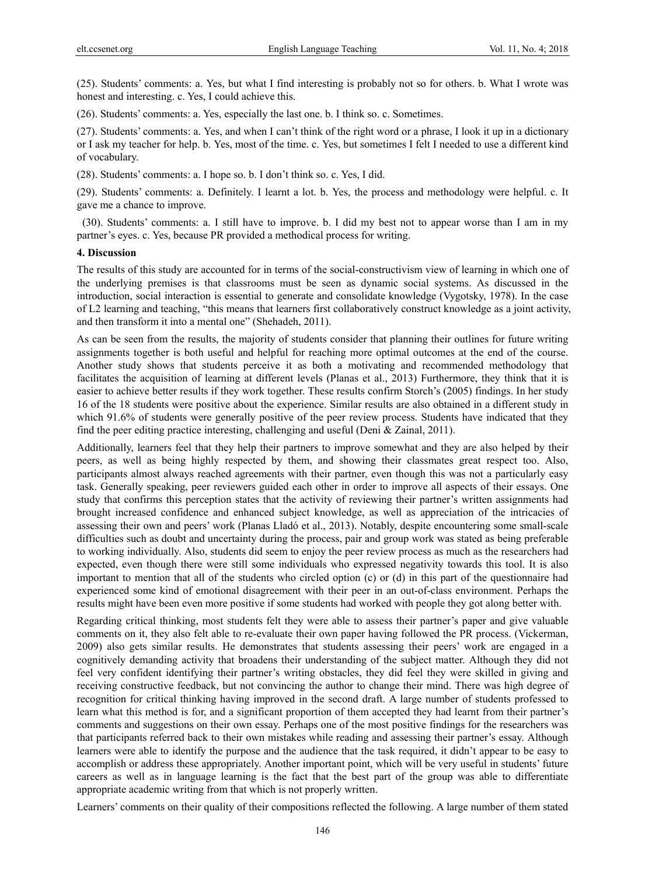(25). Students' comments: a. Yes, but what I find interesting is probably not so for others. b. What I wrote was honest and interesting. c. Yes, I could achieve this.

(26). Students' comments: a. Yes, especially the last one. b. I think so. c. Sometimes.

(27). Students' comments: a. Yes, and when I can't think of the right word or a phrase, I look it up in a dictionary or I ask my teacher for help. b. Yes, most of the time. c. Yes, but sometimes I felt I needed to use a different kind of vocabulary.

(28). Students' comments: a. I hope so. b. I don't think so. c. Yes, I did.

(29). Students' comments: a. Definitely. I learnt a lot. b. Yes, the process and methodology were helpful. c. It gave me a chance to improve.

 (30). Students' comments: a. I still have to improve. b. I did my best not to appear worse than I am in my partner's eyes. c. Yes, because PR provided a methodical process for writing.

#### **4. Discussion**

The results of this study are accounted for in terms of the social-constructivism view of learning in which one of the underlying premises is that classrooms must be seen as dynamic social systems. As discussed in the introduction, social interaction is essential to generate and consolidate knowledge (Vygotsky, 1978). In the case of L2 learning and teaching, "this means that learners first collaboratively construct knowledge as a joint activity, and then transform it into a mental one" (Shehadeh, 2011).

As can be seen from the results, the majority of students consider that planning their outlines for future writing assignments together is both useful and helpful for reaching more optimal outcomes at the end of the course. Another study shows that students perceive it as both a motivating and recommended methodology that facilitates the acquisition of learning at different levels (Planas et al., 2013) Furthermore, they think that it is easier to achieve better results if they work together. These results confirm Storch's (2005) findings. In her study 16 of the 18 students were positive about the experience. Similar results are also obtained in a different study in which 91.6% of students were generally positive of the peer review process. Students have indicated that they find the peer editing practice interesting, challenging and useful (Deni & Zainal, 2011).

Additionally, learners feel that they help their partners to improve somewhat and they are also helped by their peers, as well as being highly respected by them, and showing their classmates great respect too. Also, participants almost always reached agreements with their partner, even though this was not a particularly easy task. Generally speaking, peer reviewers guided each other in order to improve all aspects of their essays. One study that confirms this perception states that the activity of reviewing their partner's written assignments had brought increased confidence and enhanced subject knowledge, as well as appreciation of the intricacies of assessing their own and peers' work (Planas Lladó et al., 2013). Notably, despite encountering some small-scale difficulties such as doubt and uncertainty during the process, pair and group work was stated as being preferable to working individually. Also, students did seem to enjoy the peer review process as much as the researchers had expected, even though there were still some individuals who expressed negativity towards this tool. It is also important to mention that all of the students who circled option (c) or (d) in this part of the questionnaire had experienced some kind of emotional disagreement with their peer in an out-of-class environment. Perhaps the results might have been even more positive if some students had worked with people they got along better with.

Regarding critical thinking, most students felt they were able to assess their partner's paper and give valuable comments on it, they also felt able to re-evaluate their own paper having followed the PR process. (Vickerman, 2009) also gets similar results. He demonstrates that students assessing their peers' work are engaged in a cognitively demanding activity that broadens their understanding of the subject matter. Although they did not feel very confident identifying their partner's writing obstacles, they did feel they were skilled in giving and receiving constructive feedback, but not convincing the author to change their mind. There was high degree of recognition for critical thinking having improved in the second draft. A large number of students professed to learn what this method is for, and a significant proportion of them accepted they had learnt from their partner's comments and suggestions on their own essay. Perhaps one of the most positive findings for the researchers was that participants referred back to their own mistakes while reading and assessing their partner's essay. Although learners were able to identify the purpose and the audience that the task required, it didn't appear to be easy to accomplish or address these appropriately. Another important point, which will be very useful in students' future careers as well as in language learning is the fact that the best part of the group was able to differentiate appropriate academic writing from that which is not properly written.

Learners' comments on their quality of their compositions reflected the following. A large number of them stated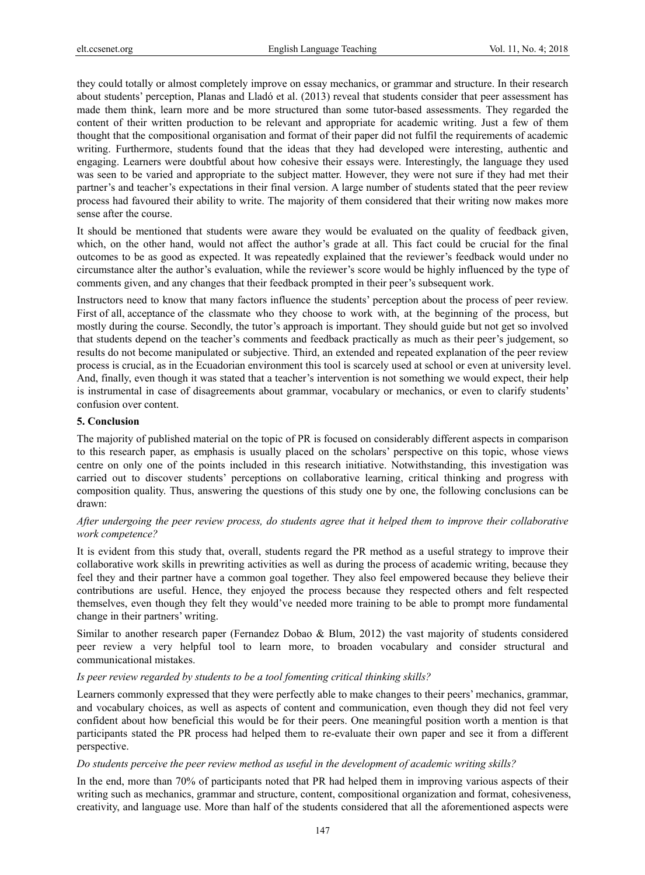they could totally or almost completely improve on essay mechanics, or grammar and structure. In their research about students' perception, Planas and Lladó et al. (2013) reveal that students consider that peer assessment has made them think, learn more and be more structured than some tutor-based assessments. They regarded the content of their written production to be relevant and appropriate for academic writing. Just a few of them thought that the compositional organisation and format of their paper did not fulfil the requirements of academic writing. Furthermore, students found that the ideas that they had developed were interesting, authentic and engaging. Learners were doubtful about how cohesive their essays were. Interestingly, the language they used was seen to be varied and appropriate to the subject matter. However, they were not sure if they had met their partner's and teacher's expectations in their final version. A large number of students stated that the peer review process had favoured their ability to write. The majority of them considered that their writing now makes more sense after the course.

It should be mentioned that students were aware they would be evaluated on the quality of feedback given, which, on the other hand, would not affect the author's grade at all. This fact could be crucial for the final outcomes to be as good as expected. It was repeatedly explained that the reviewer's feedback would under no circumstance alter the author's evaluation, while the reviewer's score would be highly influenced by the type of comments given, and any changes that their feedback prompted in their peer's subsequent work.

Instructors need to know that many factors influence the students' perception about the process of peer review. First of all, acceptance of the classmate who they choose to work with, at the beginning of the process, but mostly during the course. Secondly, the tutor's approach is important. They should guide but not get so involved that students depend on the teacher's comments and feedback practically as much as their peer's judgement, so results do not become manipulated or subjective. Third, an extended and repeated explanation of the peer review process is crucial, as in the Ecuadorian environment this tool is scarcely used at school or even at university level. And, finally, even though it was stated that a teacher's intervention is not something we would expect, their help is instrumental in case of disagreements about grammar, vocabulary or mechanics, or even to clarify students' confusion over content.

## **5. Conclusion**

The majority of published material on the topic of PR is focused on considerably different aspects in comparison to this research paper, as emphasis is usually placed on the scholars' perspective on this topic, whose views centre on only one of the points included in this research initiative. Notwithstanding, this investigation was carried out to discover students' perceptions on collaborative learning, critical thinking and progress with composition quality. Thus, answering the questions of this study one by one, the following conclusions can be drawn:

## *After undergoing the peer review process, do students agree that it helped them to improve their collaborative work competence?*

It is evident from this study that, overall, students regard the PR method as a useful strategy to improve their collaborative work skills in prewriting activities as well as during the process of academic writing, because they feel they and their partner have a common goal together. They also feel empowered because they believe their contributions are useful. Hence, they enjoyed the process because they respected others and felt respected themselves, even though they felt they would've needed more training to be able to prompt more fundamental change in their partners' writing.

Similar to another research paper (Fernandez Dobao & Blum, 2012) the vast majority of students considered peer review a very helpful tool to learn more, to broaden vocabulary and consider structural and communicational mistakes.

# *Is peer review regarded by students to be a tool fomenting critical thinking skills?*

Learners commonly expressed that they were perfectly able to make changes to their peers' mechanics, grammar, and vocabulary choices, as well as aspects of content and communication, even though they did not feel very confident about how beneficial this would be for their peers. One meaningful position worth a mention is that participants stated the PR process had helped them to re-evaluate their own paper and see it from a different perspective.

#### *Do students perceive the peer review method as useful in the development of academic writing skills?*

In the end, more than 70% of participants noted that PR had helped them in improving various aspects of their writing such as mechanics, grammar and structure, content, compositional organization and format, cohesiveness, creativity, and language use. More than half of the students considered that all the aforementioned aspects were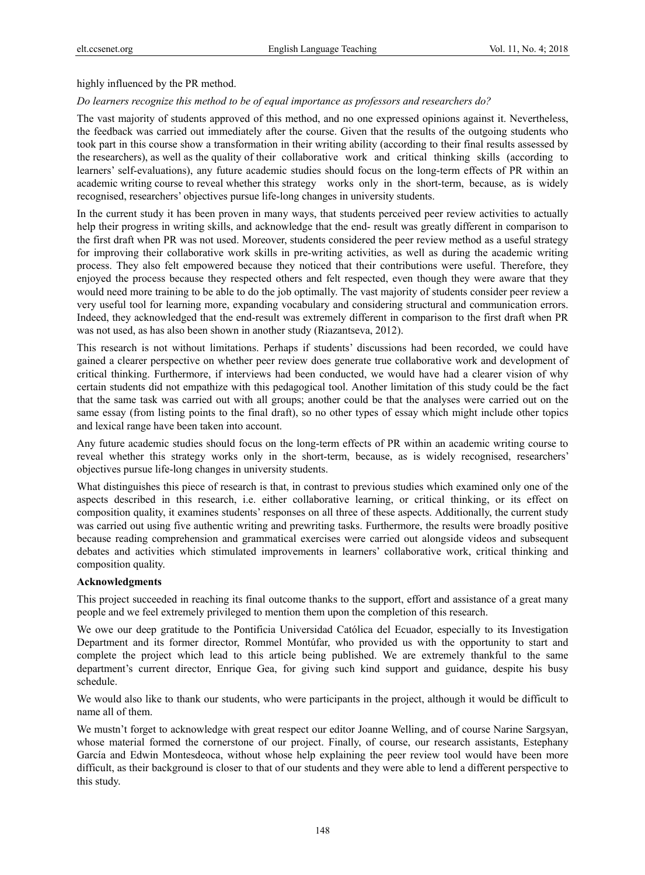## highly influenced by the PR method.

## *Do learners recognize this method to be of equal importance as professors and researchers do?*

The vast majority of students approved of this method, and no one expressed opinions against it. Nevertheless, the feedback was carried out immediately after the course. Given that the results of the outgoing students who took part in this course show a transformation in their writing ability (according to their final results assessed by the researchers), as well as the quality of their collaborative work and critical thinking skills (according to learners' self-evaluations), any future academic studies should focus on the long-term effects of PR within an academic writing course to reveal whether this strategy works only in the short-term, because, as is widely recognised, researchers' objectives pursue life-long changes in university students.

In the current study it has been proven in many ways, that students perceived peer review activities to actually help their progress in writing skills, and acknowledge that the end- result was greatly different in comparison to the first draft when PR was not used. Moreover, students considered the peer review method as a useful strategy for improving their collaborative work skills in pre-writing activities, as well as during the academic writing process. They also felt empowered because they noticed that their contributions were useful. Therefore, they enjoyed the process because they respected others and felt respected, even though they were aware that they would need more training to be able to do the job optimally. The vast majority of students consider peer review a very useful tool for learning more, expanding vocabulary and considering structural and communication errors. Indeed, they acknowledged that the end-result was extremely different in comparison to the first draft when PR was not used, as has also been shown in another study (Riazantseva, 2012).

This research is not without limitations. Perhaps if students' discussions had been recorded, we could have gained a clearer perspective on whether peer review does generate true collaborative work and development of critical thinking. Furthermore, if interviews had been conducted, we would have had a clearer vision of why certain students did not empathize with this pedagogical tool. Another limitation of this study could be the fact that the same task was carried out with all groups; another could be that the analyses were carried out on the same essay (from listing points to the final draft), so no other types of essay which might include other topics and lexical range have been taken into account.

Any future academic studies should focus on the long-term effects of PR within an academic writing course to reveal whether this strategy works only in the short-term, because, as is widely recognised, researchers' objectives pursue life-long changes in university students.

What distinguishes this piece of research is that, in contrast to previous studies which examined only one of the aspects described in this research, i.e. either collaborative learning, or critical thinking, or its effect on composition quality, it examines students' responses on all three of these aspects. Additionally, the current study was carried out using five authentic writing and prewriting tasks. Furthermore, the results were broadly positive because reading comprehension and grammatical exercises were carried out alongside videos and subsequent debates and activities which stimulated improvements in learners' collaborative work, critical thinking and composition quality.

#### **Acknowledgments**

This project succeeded in reaching its final outcome thanks to the support, effort and assistance of a great many people and we feel extremely privileged to mention them upon the completion of this research.

We owe our deep gratitude to the Pontificia Universidad Católica del Ecuador, especially to its Investigation Department and its former director, Rommel Montúfar, who provided us with the opportunity to start and complete the project which lead to this article being published. We are extremely thankful to the same department's current director, Enrique Gea, for giving such kind support and guidance, despite his busy schedule.

We would also like to thank our students, who were participants in the project, although it would be difficult to name all of them.

We mustn't forget to acknowledge with great respect our editor Joanne Welling, and of course Narine Sargsyan, whose material formed the cornerstone of our project. Finally, of course, our research assistants, Estephany García and Edwin Montesdeoca, without whose help explaining the peer review tool would have been more difficult, as their background is closer to that of our students and they were able to lend a different perspective to this study.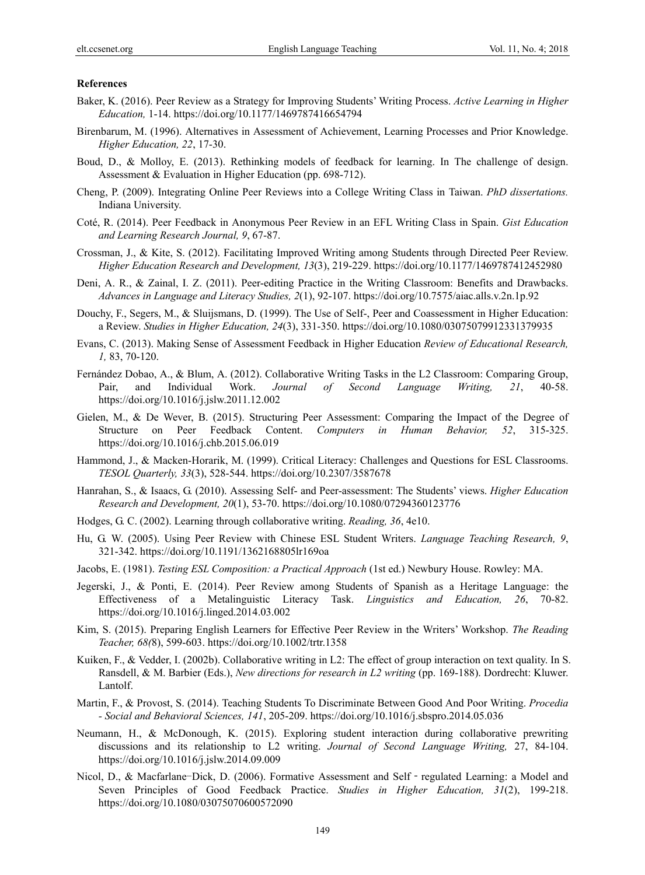#### **References**

- Baker, K. (2016). Peer Review as a Strategy for Improving Students' Writing Process. *Active Learning in Higher Education,* 1-14. https://doi.org/10.1177/1469787416654794
- Birenbarum, M. (1996). Alternatives in Assessment of Achievement, Learning Processes and Prior Knowledge. *Higher Education, 22*, 17-30.
- Boud, D., & Molloy, E. (2013). Rethinking models of feedback for learning. In The challenge of design. Assessment & Evaluation in Higher Education (pp. 698-712).
- Cheng, P. (2009). Integrating Online Peer Reviews into a College Writing Class in Taiwan. *PhD dissertations.* Indiana University.
- Coté, R. (2014). Peer Feedback in Anonymous Peer Review in an EFL Writing Class in Spain. *Gist Education and Learning Research Journal, 9*, 67-87.
- Crossman, J., & Kite, S. (2012). Facilitating Improved Writing among Students through Directed Peer Review. *Higher Education Research and Development, 13*(3), 219-229. https://doi.org/10.1177/1469787412452980
- Deni, A. R., & Zainal, I. Z. (2011). Peer-editing Practice in the Writing Classroom: Benefits and Drawbacks. *Advances in Language and Literacy Studies, 2*(1), 92-107. https://doi.org/10.7575/aiac.alls.v.2n.1p.92
- Douchy, F., Segers, M., & Sluijsmans, D. (1999). The Use of Self-, Peer and Coassessment in Higher Education: a Review. *Studies in Higher Education, 24*(3), 331-350. https://doi.org/10.1080/03075079912331379935
- Evans, C. (2013). Making Sense of Assessment Feedback in Higher Education *Review of Educational Research, 1,* 83, 70-120.
- Fernández Dobao, A., & Blum, A. (2012). Collaborative Writing Tasks in the L2 Classroom: Comparing Group, Pair, and Individual Work. *Journal of Second Language Writing, 21*, 40-58. https://doi.org/10.1016/j.jslw.2011.12.002
- Gielen, M., & De Wever, B. (2015). Structuring Peer Assessment: Comparing the Impact of the Degree of Structure on Peer Feedback Content. *Computers in Human Behavior, 52*, 315-325. https://doi.org/10.1016/j.chb.2015.06.019
- Hammond, J., & Macken-Horarik, M. (1999). Critical Literacy: Challenges and Questions for ESL Classrooms. *TESOL Quarterly, 33*(3), 528-544. https://doi.org/10.2307/3587678
- Hanrahan, S., & Isaacs, G. (2010). Assessing Self- and Peer-assessment: The Students' views. *Higher Education Research and Development, 20*(1), 53-70. https://doi.org/10.1080/07294360123776
- Hodges, G. C. (2002). Learning through collaborative writing. *Reading, 36*, 4e10.
- Hu, G. W. (2005). Using Peer Review with Chinese ESL Student Writers. *Language Teaching Research, 9*, 321-342. https://doi.org/10.1191/1362168805lr169oa
- Jacobs, E. (1981). *Testing ESL Composition: a Practical Approach* (1st ed.) Newbury House. Rowley: MA.
- Jegerski, J., & Ponti, E. (2014). Peer Review among Students of Spanish as a Heritage Language: the Effectiveness of a Metalinguistic Literacy Task. *Linguistics and Education, 26*, 70-82. https://doi.org/10.1016/j.linged.2014.03.002
- Kim, S. (2015). Preparing English Learners for Effective Peer Review in the Writers' Workshop. *The Reading Teacher, 68(*8), 599-603. https://doi.org/10.1002/trtr.1358
- Kuiken, F., & Vedder, I. (2002b). Collaborative writing in L2: The effect of group interaction on text quality. In S. Ransdell, & M. Barbier (Eds.), *New directions for research in L2 writing* (pp. 169-188). Dordrecht: Kluwer. Lantolf.
- Martin, F., & Provost, S. (2014). Teaching Students To Discriminate Between Good And Poor Writing. *Procedia - Social and Behavioral Sciences, 141*, 205-209. https://doi.org/10.1016/j.sbspro.2014.05.036
- Neumann, H., & McDonough, K. (2015). Exploring student interaction during collaborative prewriting discussions and its relationship to L2 writing. *Journal of Second Language Writing,* 27, 84-104. https://doi.org/10.1016/j.jslw.2014.09.009
- Nicol, D., & Macfarlane-Dick, D. (2006). Formative Assessment and Self regulated Learning: a Model and Seven Principles of Good Feedback Practice. *Studies in Higher Education, 31*(2), 199-218. https://doi.org/10.1080/03075070600572090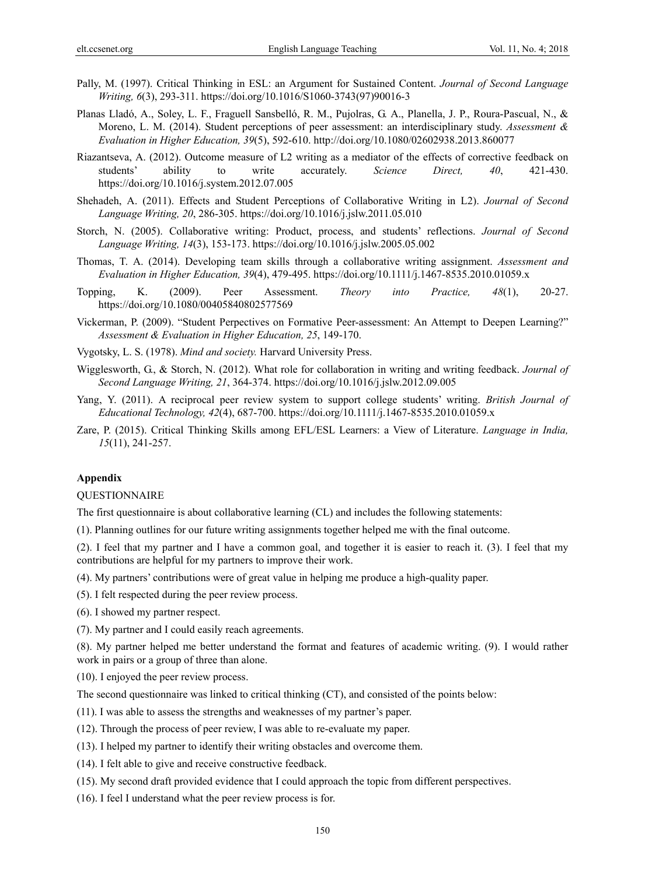- Pally, M. (1997). Critical Thinking in ESL: an Argument for Sustained Content. *Journal of Second Language Writing, 6*(3), 293-311. https://doi.org/10.1016/S1060-3743(97)90016-3
- Planas Lladó, A., Soley, L. F., Fraguell Sansbelló, R. M., Pujolras, G. A., Planella, J. P., Roura-Pascual, N., & Moreno, L. M. (2014). Student perceptions of peer assessment: an interdisciplinary study. *Assessment & Evaluation in Higher Education, 39*(5), 592-610. http://doi.org/10.1080/02602938.2013.860077
- Riazantseva, A. (2012). Outcome measure of L2 writing as a mediator of the effects of corrective feedback on students' ability to write accurately. *Science Direct, 40*, 421-430. https://doi.org/10.1016/j.system.2012.07.005
- Shehadeh, A. (2011). Effects and Student Perceptions of Collaborative Writing in L2). *Journal of Second Language Writing, 20*, 286-305. https://doi.org/10.1016/j.jslw.2011.05.010
- Storch, N. (2005). Collaborative writing: Product, process, and students' reflections. *Journal of Second Language Writing, 14*(3), 153-173. https://doi.org/10.1016/j.jslw.2005.05.002
- Thomas, T. A. (2014). Developing team skills through a collaborative writing assignment. *Assessment and Evaluation in Higher Education, 39*(4), 479-495. https://doi.org/10.1111/j.1467-8535.2010.01059.x
- Topping, K. (2009). Peer Assessment. *Theory into Practice, 48*(1), 20-27. https://doi.org/10.1080/00405840802577569
- Vickerman, P. (2009). "Student Perpectives on Formative Peer-assessment: An Attempt to Deepen Learning?" *Assessment & Evaluation in Higher Education, 25*, 149-170.
- Vygotsky, L. S. (1978). *Mind and society.* Harvard University Press.
- Wigglesworth, G., & Storch, N. (2012). What role for collaboration in writing and writing feedback. *Journal of Second Language Writing, 21*, 364-374. https://doi.org/10.1016/j.jslw.2012.09.005
- Yang, Y. (2011). A reciprocal peer review system to support college students' writing. *British Journal of Educational Technology, 42*(4), 687-700. https://doi.org/10.1111/j.1467-8535.2010.01059.x
- Zare, P. (2015). Critical Thinking Skills among EFL/ESL Learners: a View of Literature. *Language in India, 15*(11), 241-257.

#### **Appendix**

#### **OUESTIONNAIRE**

The first questionnaire is about collaborative learning (CL) and includes the following statements:

(1). Planning outlines for our future writing assignments together helped me with the final outcome.

(2). I feel that my partner and I have a common goal, and together it is easier to reach it. (3). I feel that my contributions are helpful for my partners to improve their work.

- (4). My partners' contributions were of great value in helping me produce a high-quality paper.
- (5). I felt respected during the peer review process.
- (6). I showed my partner respect.
- (7). My partner and I could easily reach agreements.

(8). My partner helped me better understand the format and features of academic writing. (9). I would rather work in pairs or a group of three than alone.

(10). I enjoyed the peer review process.

The second questionnaire was linked to critical thinking (CT), and consisted of the points below:

- (11). I was able to assess the strengths and weaknesses of my partner's paper.
- (12). Through the process of peer review, I was able to re-evaluate my paper.
- (13). I helped my partner to identify their writing obstacles and overcome them.
- (14). I felt able to give and receive constructive feedback.
- (15). My second draft provided evidence that I could approach the topic from different perspectives.
- (16). I feel I understand what the peer review process is for.